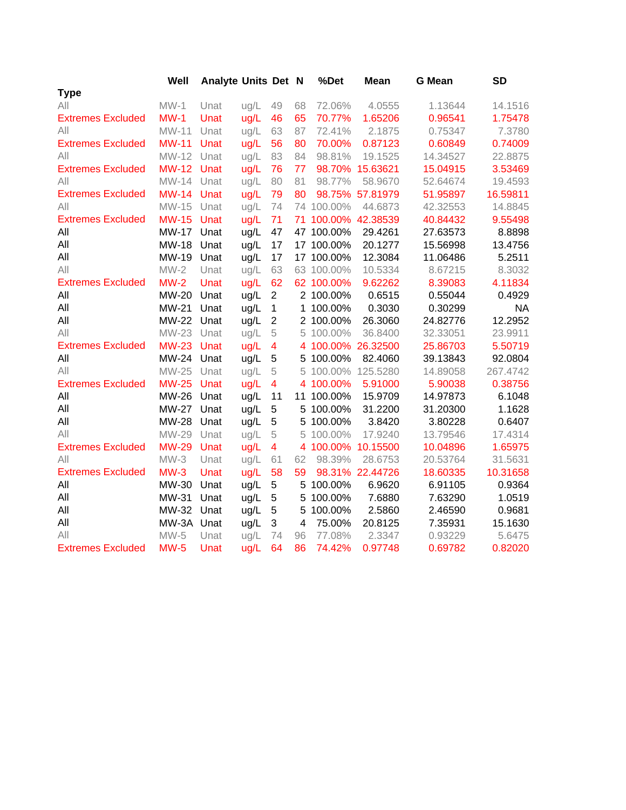|                          | Well         | <b>Analyte Units Det N</b> |      |                |    | %Det       | <b>Mean</b>         | <b>G</b> Mean | <b>SD</b> |
|--------------------------|--------------|----------------------------|------|----------------|----|------------|---------------------|---------------|-----------|
| <b>Type</b>              |              |                            |      |                |    |            |                     |               |           |
| All                      | $MW-1$       | Unat                       | ug/L | 49             | 68 | 72.06%     | 4.0555              | 1.13644       | 14.1516   |
| <b>Extremes Excluded</b> | $MW-1$       | Unat                       | ug/L | 46             | 65 | 70.77%     | 1.65206             | 0.96541       | 1.75478   |
| All                      | MW-11        | Unat                       | ug/L | 63             | 87 | 72.41%     | 2.1875              | 0.75347       | 7.3780    |
| <b>Extremes Excluded</b> | $MW-11$      | Unat                       | ug/L | 56             | 80 | 70.00%     | 0.87123             | 0.60849       | 0.74009   |
| All                      | MW-12        | Unat                       | ug/L | 83             | 84 | 98.81%     | 19.1525             | 14.34527      | 22.8875   |
| <b>Extremes Excluded</b> | <b>MW-12</b> | Unat                       | ug/L | 76             | 77 |            | 98.70% 15.63621     | 15.04915      | 3.53469   |
| All                      | MW-14        | Unat                       | ug/L | 80             | 81 | 98.77%     | 58.9670             | 52.64674      | 19.4593   |
| <b>Extremes Excluded</b> | <b>MW-14</b> | Unat                       | ug/L | 79             | 80 |            | 98.75% 57.81979     | 51.95897      | 16.59811  |
| All                      | MW-15        | Unat                       | ug/L | 74             |    | 74 100.00% | 44.6873             | 42.32553      | 14.8845   |
| <b>Extremes Excluded</b> | <b>MW-15</b> | Unat                       | ug/L | 71             |    |            | 71 100.00% 42.38539 | 40.84432      | 9.55498   |
| All                      | <b>MW-17</b> | Unat                       | ug/L | 47             |    | 47 100.00% | 29.4261             | 27.63573      | 8.8898    |
| All                      | <b>MW-18</b> | Unat                       | ug/L | 17             |    | 17 100.00% | 20.1277             | 15.56998      | 13.4756   |
| All                      | MW-19        | Unat                       | ug/L | 17             |    | 17 100.00% | 12.3084             | 11.06486      | 5.2511    |
| All                      | $MW-2$       | Unat                       | ug/L | 63             |    | 63 100.00% | 10.5334             | 8.67215       | 8.3032    |
| <b>Extremes Excluded</b> | $MW-2$       | Unat                       | ug/L | 62             |    | 62 100.00% | 9.62262             | 8.39083       | 4.11834   |
| All                      | MW-20        | Unat                       | ug/L | $\overline{2}$ |    | 2 100.00%  | 0.6515              | 0.55044       | 0.4929    |
| All                      | MW-21        | Unat                       | ug/L | $\mathbf 1$    |    | 1 100.00%  | 0.3030              | 0.30299       | <b>NA</b> |
| All                      | <b>MW-22</b> | Unat                       | ug/L | $\overline{2}$ |    | 2 100.00%  | 26.3060             | 24.82776      | 12.2952   |
| All                      | MW-23        | Unat                       | ug/L | 5              |    | 5 100.00%  | 36.8400             | 32.33051      | 23.9911   |
| <b>Extremes Excluded</b> | <b>MW-23</b> | Unat                       | ug/L | 4              |    | 4 100.00%  | 26.32500            | 25.86703      | 5.50719   |
| All                      | MW-24        | Unat                       | ug/L | 5              |    | 5 100.00%  | 82.4060             | 39.13843      | 92.0804   |
| All                      | MW-25        | Unat                       | ug/L | 5              |    | 5 100.00%  | 125.5280            | 14.89058      | 267.4742  |
| <b>Extremes Excluded</b> | <b>MW-25</b> | Unat                       | ug/L | 4              |    | 4 100.00%  | 5.91000             | 5.90038       | 0.38756   |
| All                      | MW-26        | Unat                       | ug/L | 11             |    | 11 100.00% | 15.9709             | 14.97873      | 6.1048    |
| All                      | <b>MW-27</b> | Unat                       | ug/L | 5              |    | 5 100.00%  | 31.2200             | 31.20300      | 1.1628    |
| All                      | <b>MW-28</b> | Unat                       | ug/L | 5              |    | 5 100.00%  | 3.8420              | 3.80228       | 0.6407    |
| All                      | MW-29        | Unat                       | ug/L | 5              |    | 5 100.00%  | 17.9240             | 13.79546      | 17.4314   |
| <b>Extremes Excluded</b> | <b>MW-29</b> | Unat                       | ug/L | 4              |    | 4 100.00%  | 10.15500            | 10.04896      | 1.65975   |
| All                      | $MW-3$       | Unat                       | ug/L | 61             | 62 | 98.39%     | 28.6753             | 20.53764      | 31.5631   |
| <b>Extremes Excluded</b> | $MW-3$       | Unat                       | ug/L | 58             | 59 |            | 98.31% 22.44726     | 18.60335      | 10.31658  |
| All                      | MW-30        | Unat                       | ug/L | 5              |    | 5 100.00%  | 6.9620              | 6.91105       | 0.9364    |
| All                      | MW-31        | Unat                       | ug/L | 5              | 5  | 100.00%    | 7.6880              | 7.63290       | 1.0519    |
| All                      | MW-32        | Unat                       | ug/L | 5              |    | 5 100.00%  | 2.5860              | 2.46590       | 0.9681    |
| All                      | MW-3A        | Unat                       | ug/L | 3              | 4  | 75.00%     | 20.8125             | 7.35931       | 15.1630   |
| All                      | $MW-5$       | Unat                       | ug/L | 74             | 96 | 77.08%     | 2.3347              | 0.93229       | 5.6475    |
| <b>Extremes Excluded</b> | $MW-5$       | Unat                       | ug/L | 64             | 86 | 74.42%     | 0.97748             | 0.69782       | 0.82020   |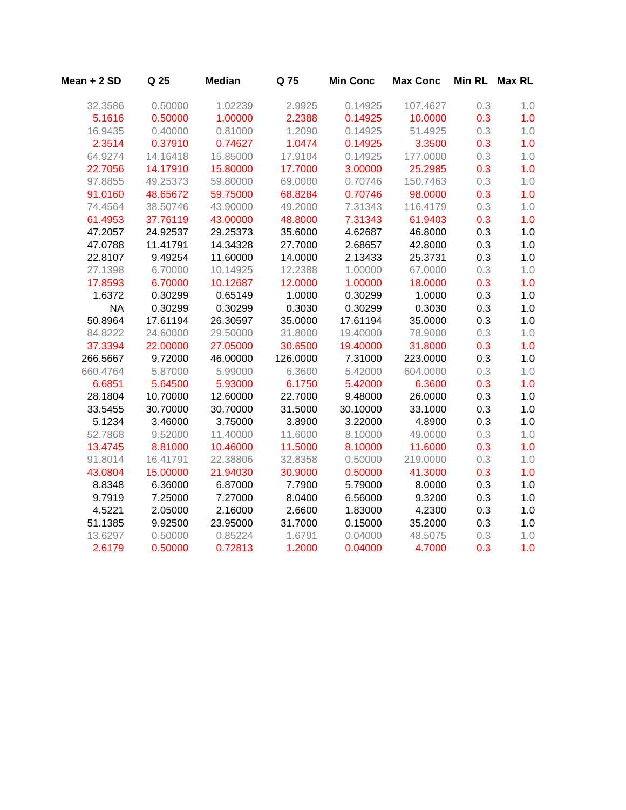| Mean + 2 SD | Q 25     | <b>Median</b> | Q 75     | <b>Min Conc</b> | <b>Max Conc</b> | <b>Min RL</b> | <b>Max RL</b> |
|-------------|----------|---------------|----------|-----------------|-----------------|---------------|---------------|
| 32.3586     | 0.50000  | 1.02239       | 2.9925   | 0.14925         | 107.4627        | 0.3           | 1.0           |
| 5.1616      | 0.50000  | 1.00000       | 2.2388   | 0.14925         | 10.0000         | 0.3           | 1.0           |
| 16.9435     | 0.40000  | 0.81000       | 1.2090   | 0.14925         | 51.4925         | 0.3           | 1.0           |
| 2.3514      | 0.37910  | 0.74627       | 1.0474   | 0.14925         | 3.3500          | 0.3           | 1.0           |
| 64.9274     | 14.16418 | 15.85000      | 17.9104  | 0.14925         | 177.0000        | 0.3           | 1.0           |
| 22.7056     | 14.17910 | 15.80000      | 17.7000  | 3.00000         | 25.2985         | 0.3           | 1.0           |
| 97.8855     | 49.25373 | 59.80000      | 69.0000  | 0.70746         | 150.7463        | 0.3           | 1.0           |
| 91.0160     | 48.65672 | 59.75000      | 68.8284  | 0.70746         | 98.0000         | 0.3           | 1.0           |
| 74.4564     | 38.50746 | 43.90000      | 49.2000  | 7.31343         | 116.4179        | 0.3           | 1.0           |
| 61.4953     | 37.76119 | 43.00000      | 48.8000  | 7.31343         | 61.9403         | 0.3           | 1.0           |
| 47.2057     | 24.92537 | 29.25373      | 35.6000  | 4.62687         | 46.8000         | 0.3           | 1.0           |
| 47.0788     | 11.41791 | 14.34328      | 27.7000  | 2.68657         | 42.8000         | 0.3           | 1.0           |
| 22.8107     | 9.49254  | 11.60000      | 14.0000  | 2.13433         | 25.3731         | 0.3           | 1.0           |
| 27.1398     | 6.70000  | 10.14925      | 12.2388  | 1.00000         | 67.0000         | 0.3           | 1.0           |
| 17.8593     | 6.70000  | 10.12687      | 12.0000  | 1.00000         | 18.0000         | 0.3           | 1.0           |
| 1.6372      | 0.30299  | 0.65149       | 1.0000   | 0.30299         | 1.0000          | 0.3           | 1.0           |
| <b>NA</b>   | 0.30299  | 0.30299       | 0.3030   | 0.30299         | 0.3030          | 0.3           | 1.0           |
| 50.8964     | 17.61194 | 26.30597      | 35.0000  | 17.61194        | 35.0000         | 0.3           | 1.0           |
| 84.8222     | 24.60000 | 29.50000      | 31.8000  | 19.40000        | 78.9000         | 0.3           | 1.0           |
| 37.3394     | 22.00000 | 27.05000      | 30.6500  | 19.40000        | 31.8000         | 0.3           | 1.0           |
| 266.5667    | 9.72000  | 46.00000      | 126.0000 | 7.31000         | 223.0000        | 0.3           | 1.0           |
| 660.4764    | 5.87000  | 5.99000       | 6.3600   | 5.42000         | 604.0000        | 0.3           | 1.0           |
| 6.6851      | 5.64500  | 5.93000       | 6.1750   | 5.42000         | 6.3600          | 0.3           | 1.0           |
| 28.1804     | 10.70000 | 12.60000      | 22.7000  | 9.48000         | 26.0000         | 0.3           | 1.0           |
| 33.5455     | 30.70000 | 30.70000      | 31.5000  | 30.10000        | 33.1000         | 0.3           | 1.0           |
| 5.1234      | 3.46000  | 3.75000       | 3.8900   | 3.22000         | 4.8900          | 0.3           | 1.0           |
| 52.7868     | 9.52000  | 11.40000      | 11.6000  | 8.10000         | 49.0000         | 0.3           | 1.0           |
| 13.4745     | 8.81000  | 10.46000      | 11.5000  | 8.10000         | 11.6000         | 0.3           | 1.0           |
| 91.8014     | 16.41791 | 22.38806      | 32.8358  | 0.50000         | 219.0000        | 0.3           | 1.0           |
| 43.0804     | 15.00000 | 21.94030      | 30.9000  | 0.50000         | 41.3000         | 0.3           | 1.0           |
| 8.8348      | 6.36000  | 6.87000       | 7.7900   | 5.79000         | 8.0000          | 0.3           | 1.0           |
| 9.7919      | 7.25000  | 7.27000       | 8.0400   | 6.56000         | 9.3200          | 0.3           | 1.0           |
| 4.5221      | 2.05000  | 2.16000       | 2.6600   | 1.83000         | 4.2300          | 0.3           | 1.0           |
| 51.1385     | 9.92500  | 23.95000      | 31.7000  | 0.15000         | 35.2000         | 0.3           | 1.0           |
| 13.6297     | 0.50000  | 0.85224       | 1.6791   | 0.04000         | 48.5075         | 0.3           | 1.0           |
| 2.6179      | 0.50000  | 0.72813       | 1.2000   | 0.04000         | 4.7000          | 0.3           | 1.0           |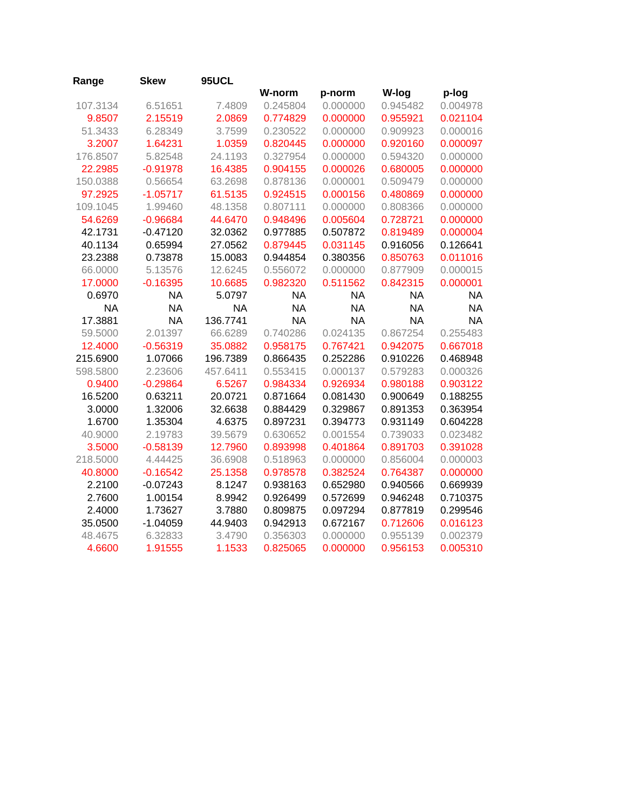| Range     | Skew       | 95UCL     |           |           |           |           |
|-----------|------------|-----------|-----------|-----------|-----------|-----------|
|           |            |           | W-norm    | p-norm    | W-log     | p-log     |
| 107.3134  | 6.51651    | 7.4809    | 0.245804  | 0.000000  | 0.945482  | 0.004978  |
| 9.8507    | 2.15519    | 2.0869    | 0.774829  | 0.000000  | 0.955921  | 0.021104  |
| 51.3433   | 6.28349    | 3.7599    | 0.230522  | 0.000000  | 0.909923  | 0.000016  |
| 3.2007    | 1.64231    | 1.0359    | 0.820445  | 0.000000  | 0.920160  | 0.000097  |
| 176.8507  | 5.82548    | 24.1193   | 0.327954  | 0.000000  | 0.594320  | 0.000000  |
| 22.2985   | $-0.91978$ | 16.4385   | 0.904155  | 0.000026  | 0.680005  | 0.000000  |
| 150.0388  | 0.56654    | 63.2698   | 0.878136  | 0.000001  | 0.509479  | 0.000000  |
| 97.2925   | $-1.05717$ | 61.5135   | 0.924515  | 0.000156  | 0.480869  | 0.000000  |
| 109.1045  | 1.99460    | 48.1358   | 0.807111  | 0.000000  | 0.808366  | 0.000000  |
| 54.6269   | $-0.96684$ | 44.6470   | 0.948496  | 0.005604  | 0.728721  | 0.000000  |
| 42.1731   | $-0.47120$ | 32.0362   | 0.977885  | 0.507872  | 0.819489  | 0.000004  |
| 40.1134   | 0.65994    | 27.0562   | 0.879445  | 0.031145  | 0.916056  | 0.126641  |
| 23.2388   | 0.73878    | 15.0083   | 0.944854  | 0.380356  | 0.850763  | 0.011016  |
| 66.0000   | 5.13576    | 12.6245   | 0.556072  | 0.000000  | 0.877909  | 0.000015  |
| 17.0000   | $-0.16395$ | 10.6685   | 0.982320  | 0.511562  | 0.842315  | 0.000001  |
| 0.6970    | <b>NA</b>  | 5.0797    | <b>NA</b> | <b>NA</b> | <b>NA</b> | <b>NA</b> |
| <b>NA</b> | <b>NA</b>  | <b>NA</b> | <b>NA</b> | <b>NA</b> | <b>NA</b> | <b>NA</b> |
| 17.3881   | <b>NA</b>  | 136.7741  | <b>NA</b> | <b>NA</b> | <b>NA</b> | <b>NA</b> |
| 59.5000   | 2.01397    | 66.6289   | 0.740286  | 0.024135  | 0.867254  | 0.255483  |
| 12.4000   | $-0.56319$ | 35.0882   | 0.958175  | 0.767421  | 0.942075  | 0.667018  |
| 215.6900  | 1.07066    | 196.7389  | 0.866435  | 0.252286  | 0.910226  | 0.468948  |
| 598.5800  | 2.23606    | 457.6411  | 0.553415  | 0.000137  | 0.579283  | 0.000326  |
| 0.9400    | $-0.29864$ | 6.5267    | 0.984334  | 0.926934  | 0.980188  | 0.903122  |
| 16.5200   | 0.63211    | 20.0721   | 0.871664  | 0.081430  | 0.900649  | 0.188255  |
| 3.0000    | 1.32006    | 32.6638   | 0.884429  | 0.329867  | 0.891353  | 0.363954  |
| 1.6700    | 1.35304    | 4.6375    | 0.897231  | 0.394773  | 0.931149  | 0.604228  |
| 40.9000   | 2.19783    | 39.5679   | 0.630652  | 0.001554  | 0.739033  | 0.023482  |
| 3.5000    | $-0.58139$ | 12.7960   | 0.893998  | 0.401864  | 0.891703  | 0.391028  |
| 218.5000  | 4.44425    | 36.6908   | 0.518963  | 0.000000  | 0.856004  | 0.000003  |
| 40.8000   | $-0.16542$ | 25.1358   | 0.978578  | 0.382524  | 0.764387  | 0.000000  |
| 2.2100    | $-0.07243$ | 8.1247    | 0.938163  | 0.652980  | 0.940566  | 0.669939  |
| 2.7600    | 1.00154    | 8.9942    | 0.926499  | 0.572699  | 0.946248  | 0.710375  |
| 2.4000    | 1.73627    | 3.7880    | 0.809875  | 0.097294  | 0.877819  | 0.299546  |
| 35.0500   | $-1.04059$ | 44.9403   | 0.942913  | 0.672167  | 0.712606  | 0.016123  |
| 48.4675   | 6.32833    | 3.4790    | 0.356303  | 0.000000  | 0.955139  | 0.002379  |
| 4.6600    | 1.91555    | 1.1533    | 0.825065  | 0.000000  | 0.956153  | 0.005310  |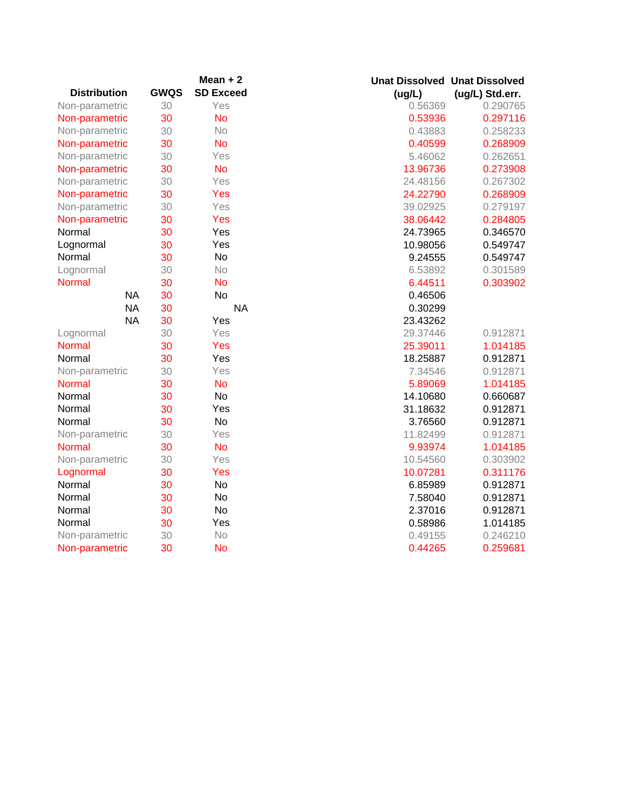|                     |             | Mean $+2$        | <b>Unat Dissolved Unat Dissolved</b> |                 |
|---------------------|-------------|------------------|--------------------------------------|-----------------|
| <b>Distribution</b> | <b>GWQS</b> | <b>SD Exceed</b> | (ug/L)                               | (ug/L) Std.err. |
| Non-parametric      | 30          | Yes              | 0.56369                              | 0.290765        |
| Non-parametric      | 30          | <b>No</b>        | 0.53936                              | 0.297116        |
| Non-parametric      | 30          | No               | 0.43883                              | 0.258233        |
| Non-parametric      | 30          | <b>No</b>        | 0.40599                              | 0.268909        |
| Non-parametric      | 30          | Yes              | 5.46062                              | 0.262651        |
| Non-parametric      | 30          | <b>No</b>        | 13.96736                             | 0.273908        |
| Non-parametric      | 30          | Yes              | 24.48156                             | 0.267302        |
| Non-parametric      | 30          | Yes              | 24.22790                             | 0.268909        |
| Non-parametric      | 30          | Yes              | 39.02925                             | 0.279197        |
| Non-parametric      | 30          | Yes              | 38.06442                             | 0.284805        |
| Normal              | 30          | Yes              | 24.73965                             | 0.346570        |
| Lognormal           | 30          | Yes              | 10.98056                             | 0.549747        |
| Normal              | 30          | <b>No</b>        | 9.24555                              | 0.549747        |
| Lognormal           | 30          | No               | 6.53892                              | 0.301589        |
| <b>Normal</b>       | 30          | <b>No</b>        | 6.44511                              | 0.303902        |
| <b>NA</b>           | 30          | <b>No</b>        | 0.46506                              |                 |
| <b>NA</b>           | 30          | <b>NA</b>        | 0.30299                              |                 |
| <b>NA</b>           | 30          | Yes              | 23.43262                             |                 |
| Lognormal           | 30          | Yes              | 29.37446                             | 0.912871        |
| <b>Normal</b>       | 30          | Yes              | 25.39011                             | 1.014185        |
| Normal              | 30          | Yes              | 18.25887                             | 0.912871        |
| Non-parametric      | 30          | Yes              | 7.34546                              | 0.912871        |
| Normal              | 30          | <b>No</b>        | 5.89069                              | 1.014185        |
| Normal              | 30          | <b>No</b>        | 14.10680                             | 0.660687        |
| Normal              | 30          | Yes              | 31.18632                             | 0.912871        |
| Normal              | 30          | <b>No</b>        | 3.76560                              | 0.912871        |
| Non-parametric      | 30          | Yes              | 11.82499                             | 0.912871        |
| Normal              | 30          | <b>No</b>        | 9.93974                              | 1.014185        |
| Non-parametric      | 30          | Yes              | 10.54560                             | 0.303902        |
| Lognormal           | 30          | Yes              | 10.07281                             | 0.311176        |
| Normal              | 30          | <b>No</b>        | 6.85989                              | 0.912871        |
| Normal              | 30          | <b>No</b>        | 7.58040                              | 0.912871        |
| Normal              | 30          | No               | 2.37016                              | 0.912871        |
| Normal              | 30          | Yes              | 0.58986                              | 1.014185        |
| Non-parametric      | 30          | No               | 0.49155                              | 0.246210        |
| Non-parametric      | 30          | <b>No</b>        | 0.44265                              | 0.259681        |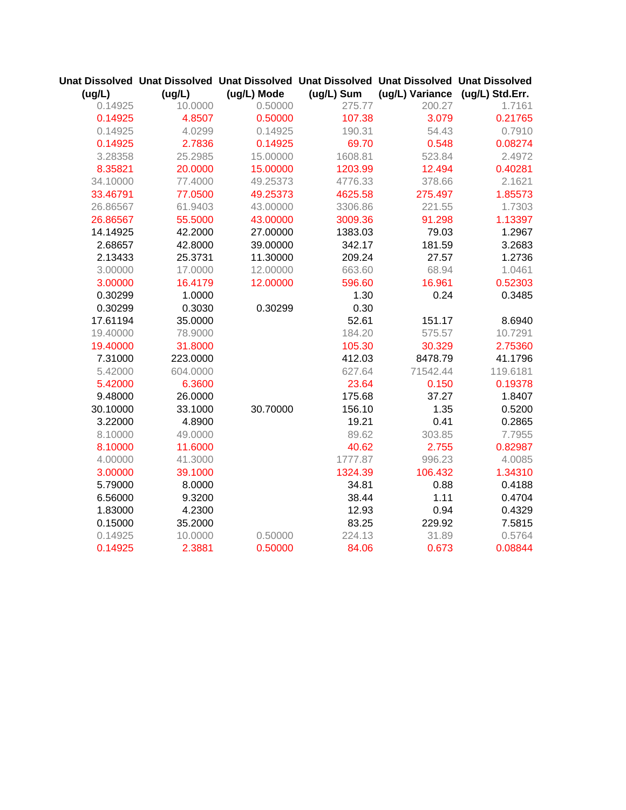|          |          |             |            | Unat Dissolved Unat Dissolved Unat Dissolved Unat Dissolved Unat Dissolved Unat Dissolved |          |
|----------|----------|-------------|------------|-------------------------------------------------------------------------------------------|----------|
| (ug/L)   | (ug/L)   | (ug/L) Mode | (ug/L) Sum | (ug/L) Variance (ug/L) Std.Err.                                                           |          |
| 0.14925  | 10.0000  | 0.50000     | 275.77     | 200.27                                                                                    | 1.7161   |
| 0.14925  | 4.8507   | 0.50000     | 107.38     | 3.079                                                                                     | 0.21765  |
| 0.14925  | 4.0299   | 0.14925     | 190.31     | 54.43                                                                                     | 0.7910   |
| 0.14925  | 2.7836   | 0.14925     | 69.70      | 0.548                                                                                     | 0.08274  |
| 3.28358  | 25.2985  | 15.00000    | 1608.81    | 523.84                                                                                    | 2.4972   |
| 8.35821  | 20.0000  | 15.00000    | 1203.99    | 12.494                                                                                    | 0.40281  |
| 34.10000 | 77.4000  | 49.25373    | 4776.33    | 378.66                                                                                    | 2.1621   |
| 33.46791 | 77.0500  | 49.25373    | 4625.58    | 275.497                                                                                   | 1.85573  |
| 26.86567 | 61.9403  | 43.00000    | 3306.86    | 221.55                                                                                    | 1.7303   |
| 26.86567 | 55.5000  | 43.00000    | 3009.36    | 91.298                                                                                    | 1.13397  |
| 14.14925 | 42.2000  | 27.00000    | 1383.03    | 79.03                                                                                     | 1.2967   |
| 2.68657  | 42.8000  | 39.00000    | 342.17     | 181.59                                                                                    | 3.2683   |
| 2.13433  | 25.3731  | 11.30000    | 209.24     | 27.57                                                                                     | 1.2736   |
| 3.00000  | 17.0000  | 12.00000    | 663.60     | 68.94                                                                                     | 1.0461   |
| 3.00000  | 16.4179  | 12.00000    | 596.60     | 16.961                                                                                    | 0.52303  |
| 0.30299  | 1.0000   |             | 1.30       | 0.24                                                                                      | 0.3485   |
| 0.30299  | 0.3030   | 0.30299     | 0.30       |                                                                                           |          |
| 17.61194 | 35.0000  |             | 52.61      | 151.17                                                                                    | 8.6940   |
| 19.40000 | 78.9000  |             | 184.20     | 575.57                                                                                    | 10.7291  |
| 19.40000 | 31.8000  |             | 105.30     | 30.329                                                                                    | 2.75360  |
| 7.31000  | 223.0000 |             | 412.03     | 8478.79                                                                                   | 41.1796  |
| 5.42000  | 604.0000 |             | 627.64     | 71542.44                                                                                  | 119.6181 |
| 5.42000  | 6.3600   |             | 23.64      | 0.150                                                                                     | 0.19378  |
| 9.48000  | 26.0000  |             | 175.68     | 37.27                                                                                     | 1.8407   |
| 30.10000 | 33.1000  | 30.70000    | 156.10     | 1.35                                                                                      | 0.5200   |
| 3.22000  | 4.8900   |             | 19.21      | 0.41                                                                                      | 0.2865   |
| 8.10000  | 49.0000  |             | 89.62      | 303.85                                                                                    | 7.7955   |
| 8.10000  | 11.6000  |             | 40.62      | 2.755                                                                                     | 0.82987  |
| 4.00000  | 41.3000  |             | 1777.87    | 996.23                                                                                    | 4.0085   |
| 3.00000  | 39.1000  |             | 1324.39    | 106.432                                                                                   | 1.34310  |
| 5.79000  | 8.0000   |             | 34.81      | 0.88                                                                                      | 0.4188   |
| 6.56000  | 9.3200   |             | 38.44      | 1.11                                                                                      | 0.4704   |
| 1.83000  | 4.2300   |             | 12.93      | 0.94                                                                                      | 0.4329   |
| 0.15000  | 35.2000  |             | 83.25      | 229.92                                                                                    | 7.5815   |
| 0.14925  | 10.0000  | 0.50000     | 224.13     | 31.89                                                                                     | 0.5764   |
| 0.14925  | 2.3881   | 0.50000     | 84.06      | 0.673                                                                                     | 0.08844  |